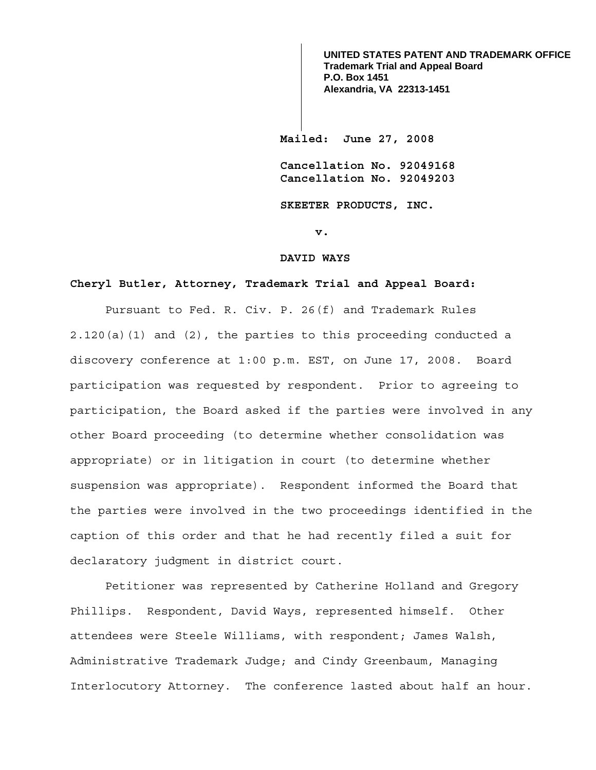**Mailed: June 27, 2008 Cancellation No. 92049168 Cancellation No. 92049203 SKEETER PRODUCTS, INC. UNITED STATES PATENT AND TRADEMARK OFFICE Trademark Trial and Appeal Board P.O. Box 1451 Alexandria, VA 22313-1451**

**v.** 

#### **DAVID WAYS**

### **Cheryl Butler, Attorney, Trademark Trial and Appeal Board:**

Pursuant to Fed. R. Civ. P. 26(f) and Trademark Rules 2.120(a)(1) and (2), the parties to this proceeding conducted a discovery conference at 1:00 p.m. EST, on June 17, 2008. Board participation was requested by respondent. Prior to agreeing to participation, the Board asked if the parties were involved in any other Board proceeding (to determine whether consolidation was appropriate) or in litigation in court (to determine whether suspension was appropriate). Respondent informed the Board that the parties were involved in the two proceedings identified in the caption of this order and that he had recently filed a suit for declaratory judgment in district court.

Petitioner was represented by Catherine Holland and Gregory Phillips. Respondent, David Ways, represented himself. Other attendees were Steele Williams, with respondent; James Walsh, Administrative Trademark Judge; and Cindy Greenbaum, Managing Interlocutory Attorney. The conference lasted about half an hour.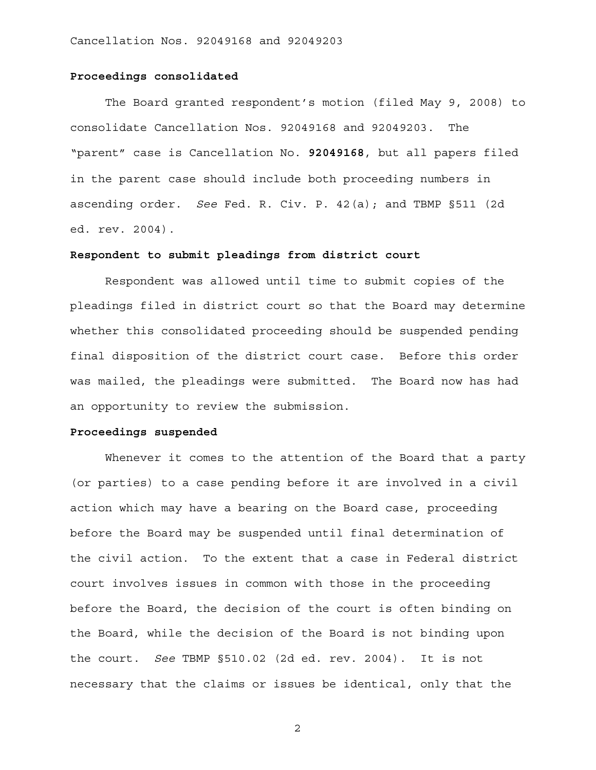### **Proceedings consolidated**

The Board granted respondent's motion (filed May 9, 2008) to consolidate Cancellation Nos. 92049168 and 92049203. The "parent" case is Cancellation No. **92049168**, but all papers filed in the parent case should include both proceeding numbers in ascending order. *See* Fed. R. Civ. P. 42(a); and TBMP §511 (2d ed. rev. 2004).

## **Respondent to submit pleadings from district court**

 Respondent was allowed until time to submit copies of the pleadings filed in district court so that the Board may determine whether this consolidated proceeding should be suspended pending final disposition of the district court case. Before this order was mailed, the pleadings were submitted. The Board now has had an opportunity to review the submission.

#### **Proceedings suspended**

Whenever it comes to the attention of the Board that a party (or parties) to a case pending before it are involved in a civil action which may have a bearing on the Board case, proceeding before the Board may be suspended until final determination of the civil action. To the extent that a case in Federal district court involves issues in common with those in the proceeding before the Board, the decision of the court is often binding on the Board, while the decision of the Board is not binding upon the court. *See* TBMP §510.02 (2d ed. rev. 2004). It is not necessary that the claims or issues be identical, only that the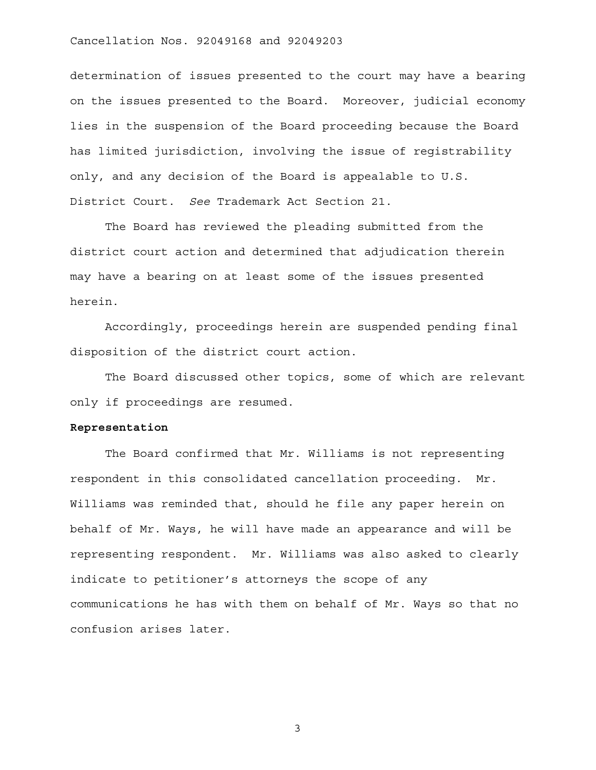### Cancellation Nos. 92049168 and 92049203

determination of issues presented to the court may have a bearing on the issues presented to the Board. Moreover, judicial economy lies in the suspension of the Board proceeding because the Board has limited jurisdiction, involving the issue of registrability only, and any decision of the Board is appealable to U.S. District Court. *See* Trademark Act Section 21.

 The Board has reviewed the pleading submitted from the district court action and determined that adjudication therein may have a bearing on at least some of the issues presented herein.

 Accordingly, proceedings herein are suspended pending final disposition of the district court action.

The Board discussed other topics, some of which are relevant only if proceedings are resumed.

# **Representation**

 The Board confirmed that Mr. Williams is not representing respondent in this consolidated cancellation proceeding. Mr. Williams was reminded that, should he file any paper herein on behalf of Mr. Ways, he will have made an appearance and will be representing respondent. Mr. Williams was also asked to clearly indicate to petitioner's attorneys the scope of any communications he has with them on behalf of Mr. Ways so that no confusion arises later.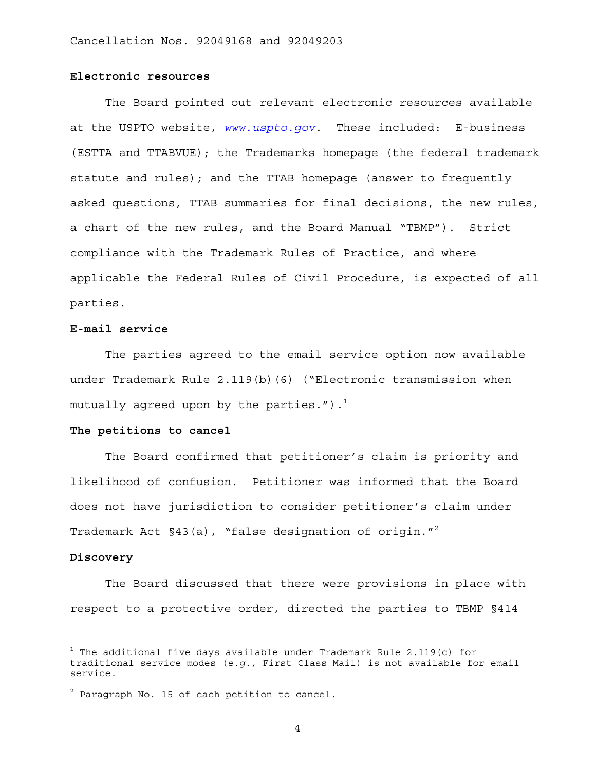## **Electronic resources**

The Board pointed out relevant electronic resources available at the USPTO website, *www.uspto.gov*. These included: E-business (ESTTA and TTABVUE); the Trademarks homepage (the federal trademark statute and rules); and the TTAB homepage (answer to frequently asked questions, TTAB summaries for final decisions, the new rules, a chart of the new rules, and the Board Manual "TBMP"). Strict compliance with the Trademark Rules of Practice, and where applicable the Federal Rules of Civil Procedure, is expected of all parties.

### **E-mail service**

The parties agreed to the email service option now available under Trademark Rule 2.119(b)(6) ("Electronic transmission when mutually agreed upon by the parties."). $<sup>1</sup>$ </sup>

#### **The petitions to cancel**

 The Board confirmed that petitioner's claim is priority and likelihood of confusion. Petitioner was informed that the Board does not have jurisdiction to consider petitioner's claim under Trademark Act §43(a), "false designation of origin."<sup>2</sup>

#### **Discovery**

The Board discussed that there were provisions in place with respect to a protective order, directed the parties to TBMP §414

 $^{\rm 1}$  The additional five days available under Trademark Rule 2.119(c) for traditional service modes (*e.g.,* First Class Mail) is not available for email service.

 $^2$  Paragraph No. 15 of each petition to cancel.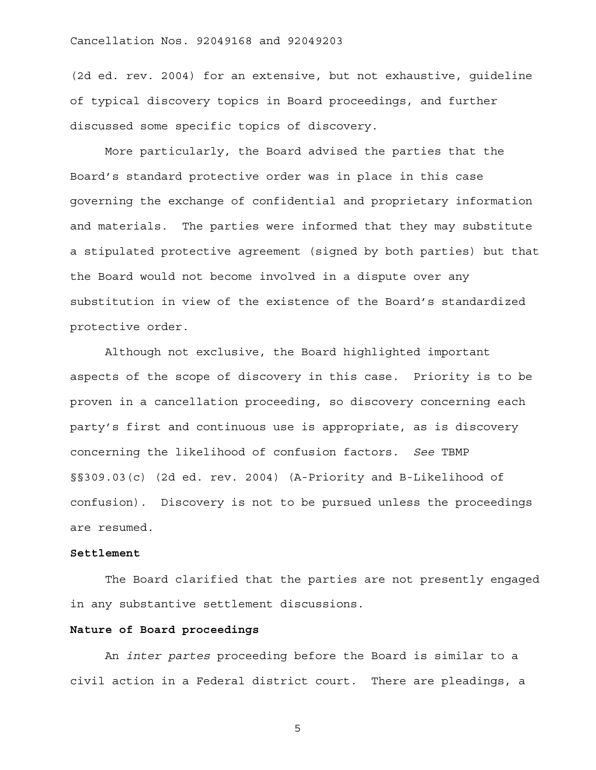# Cancellation Nos. 92049168 and 92049203

(2d ed. rev. 2004) for an extensive, but not exhaustive, guideline of typical discovery topics in Board proceedings, and further discussed some specific topics of discovery.

More particularly, the Board advised the parties that the Board's standard protective order was in place in this case governing the exchange of confidential and proprietary information and materials. The parties were informed that they may substitute a stipulated protective agreement (signed by both parties) but that the Board would not become involved in a dispute over any substitution in view of the existence of the Board's standardized protective order.

Although not exclusive, the Board highlighted important aspects of the scope of discovery in this case. Priority is to be proven in a cancellation proceeding, so discovery concerning each party's first and continuous use is appropriate, as is discovery concerning the likelihood of confusion factors. *See* TBMP §§309.03(c) (2d ed. rev. 2004) (A-Priority and B-Likelihood of confusion). Discovery is not to be pursued unless the proceedings are resumed.

## **Settlement**

 The Board clarified that the parties are not presently engaged in any substantive settlement discussions.

#### **Nature of Board proceedings**

An *inter partes* proceeding before the Board is similar to a civil action in a Federal district court. There are pleadings, a